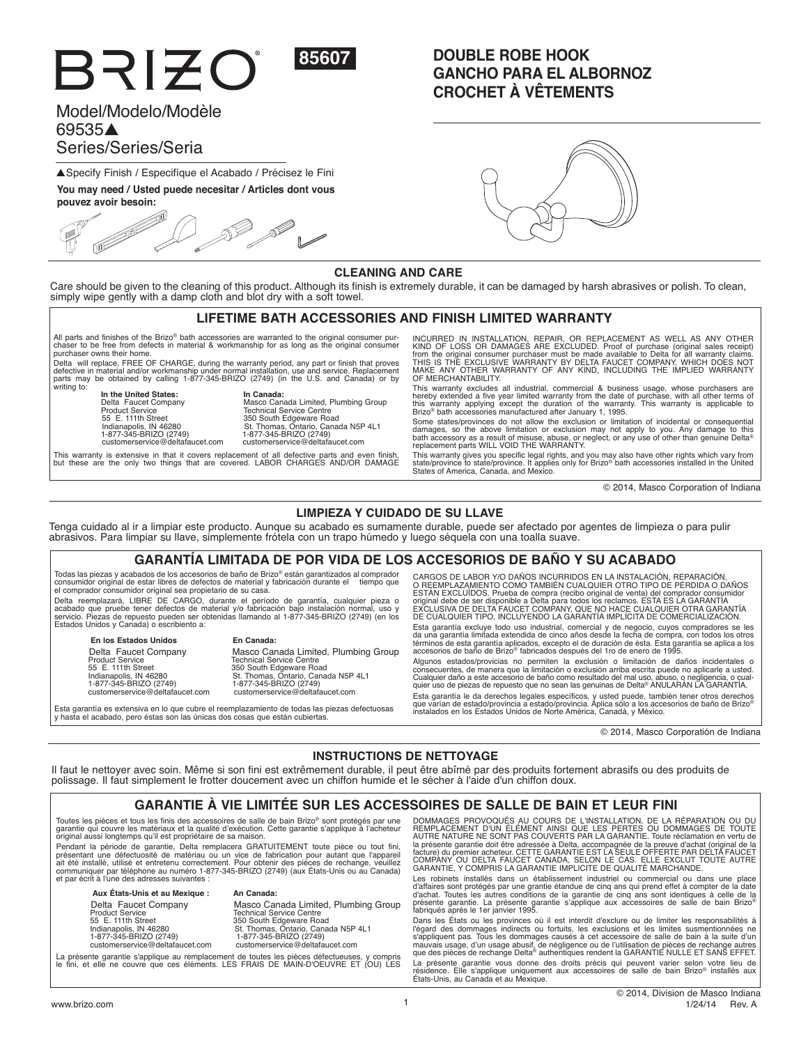

# Model/Modelo/Modèle 69535-Series/Series/Seria

BRIZO

▲ Specify Finish / Especifíque el Acabado / Précisez le Fini

**You may need / Usted puede necesitar / Articles dont vous** 

**pouvez avoir besoin:** S<sup>E</sup>

# **DOUBLE ROBE HOOK GANCHO PARA EL ALBORNOZ CROCHET À VÊTEMENTS**



## **CLEANING AND CARE**

Care should be given to the cleaning of this product. Although its finish is extremely durable, it can be damaged by harsh abrasives or polish. To clean, simply wipe gently with a damp cloth and blot dry with a soft towel.

### **LIFETIME BATH ACCESSORIES AND FINISH LIMITED WARRANTY**

All parts and finishes of the Brizo® bath accessories are warranted to the original consumer pur-chaser to be free from defects in material & workmanship for as long as the original consumer purchaser owns their home.

.<br>Delta will replace, FREE OF CHARGE, during the warranty period, any part or finish that proves<br>parts may be obtained by calling 1-877-345-BRIZO (2749) (in the U.S. and Canada) or by<br>parts may be obtained by calling 1-877 writing to:

**In the United States: In Canada:**<br> **Delta Faucet Company** Masco Can<br>
Product Service Technical S<br>
55 E. 111th Street 2000 South 1 1-877-345-BRIZO (2749) 1-877-345-BRIZO (2749)

 # \$ 
% &
 \*+ :;- < :
 = > = 55 E. 111th Street 350 South Edgeware Road ?
+ ?@ CHJKL = >
+ Q
+ @V: C\*W customerservice@deltafaucet.com customerservice@deltafaucet.com

This warranty is extensive in that it covers replacement of all defective parts and even finish,<br>but these are the only two things that are covered. LABOR CHARGES AND/OR DAMAGE

INCURRED IN INSTALLATION, REPAIR, OR REPLACEMENT AS WELL AS ANY OTHER<br>KIND OF LOSS OR DAMAGES ARE EXCLUDED. Proof of purchase (original sales receipt)<br>from the original consumer purchaser must be made available to Delta fo

This warranty excludes all industrial, commercial & business usage, whose purchasers are hereby extended a five year limited warranty from the date of purchase, with all other terms of<br>this warranty applying except the duration of the warranty. This warranty is applicable to<br>Brizo® bath accessories manufacture

Some states/provinces do not allow the exclusion or limitation of incidental or consequential damages, so the above limitation or exclusion may not apply to you. Any damage to this<br>bath accessory as a result of misuse, abuse, or neglect, or any use of other than genuine Delta®<br>replacement parts WILL VOID THE WARRAN

This warranty gives you specific legal rights, and you may also have other rights which vary from<br>state/province to state/province. It applies only for Brizo® bath accessories installed in the United<br>States of America, Can

 $@$  2014, Masco Corporation of Indiana

### **LIMPIEZA Y CUIDADO DE SU LLAVE**

Tenga cuidado al ir a limpiar este producto. Aunque su acabado es sumamente durable, puede ser afectado por agentes de limpieza o para pulir abrasivos. Para limpiar su llave, simplemente frótela con un trapo húmedo y luego séquela con una toalla suave.

### **GARANTÍA LIMITADA DE POR VIDA DE LOS ACCESORIOS DE BAÑO Y SU ACABADO**

Todas las piezas y acabados de los accesorios de baño de Brizo® están garantizados al comprador<br>consumidor original de estar libres de defectos de material y fabricación durante el tiempo que

el comprador consumidor original sea propietario de su casa.<br>Delta reemplazará, LIBRE DE CARGO, durante el período de garantía, cualquier pieza o<br>acabado que pruebe tener defectos de material y/o fabricación bajo instalaci

**En los Estados Unidos En Canada:**

Delta Faucet Company Masco Canada Limited, Plumbing Group Product Service<br>
55 E. 111th Street 350 St. Thomas, Ontario, Canada N5P 4L1<br>
1-877-345-BRIZO (2749) 1-877-345-BRIZO (2749) Product Service Company<br>
Product Service Company<br>
State Charles Soft Charles Soft Education Charles Indianapolis, IN 46280<br>
1477-345-BRIZO (2749)<br>
21. Thomas, Ontario, Canada N5P<br>
1477-345-BRIZO (2749)<br>
21. Thomas, Ontario

Esta garantía es extensiva en lo que cubre el reemplazamiento de todas las piezas defectuosas y hasta el acabado, pero éstas son las únicas dos cosas que están cubiertas.

CARGOS DE LABOR Y/O DANOS INCURRIDOS EN LA INSTALACION, REPARACION,<br>O REEMPLAZAMIENTO COMO TAMBIÉN CUALQUIER OTRO TIPO DE PÉRDIDA O DAÑOS<br>ESTÁN EXCLUÍDOS. Prueba de compra (recibo original de venta) del comprador consumido Esta garantía excluye todo uso industrial, comercial y de negocio, cuyos compradores se les<br>da una garantía limitada extendida de cinco años desde la fecha de compra, con todos los otros<br>términos de esta garantía aplicados

Algunos estados/provicias no permiten la exclusión o limitación de daños incidentales o consecuentes, de manera que la limitación o exclusión arriba escrita puede no aplicarle a usted.<br>Cualquier daño a este accesorio que no sean las genuinas de Delta® ANULARÁN LA GARANTÍA.<br>quier uso de piezas de repuesto que Esta garantía le da derechos legales específicos, y usted puede, también tener otros derechos<br>que varían de estado/provincia a estado/provincia. Aplica sólo a los accesorios de baño de Brizo®<br>instalados en los Estados Unid

 $©$  2014, Masco Corporatión de Indiana

# **INSTRUCTIONS DE NETTOYAGE**

Il faut le nettoyer avec soin. Même si son fini est extrêmement durable, il peut être abîmé par des produits fortement abrasifs ou des produits de polissage. Il faut simplement le frotter doucement avec un chiffon humide et le sécher à l'aide d'un chiffon doux.

# **GARANTIE À VIE LIMITÉE SUR LES ACCESSOIRES DE SALLE DE BAIN ET LEUR FINI**

Toutes les pièces et tous les finis des accessoires de salle de bain Brizo® sont protégés par une<br>garantie qui couvre les matériaux et la qualité d'exécution. Cette garantie s'applique à l'acheteur<br>original aussi longtemps

Pendant la période de garantie, Delta remplacera GRATUITEMENT toute pièce ou tout fini présentant une défectuosité de matériau ou un vice de fabrication pour autant que l'appareil<br>ait été installé, utilisé et entretenu correctement. Pour obtenir des pièces de rechange, veuillez<br>communiquer par téléphone au n et par écrit à l'une des adresses suivantes :

### **Aux États-Unis et au Mexique : An Canada:**

Product Service **120 Community 12 Community Technical Service Centre**<br>155 E. 111th Street 350 South Edgeware Road

Delta Faucet Company Masco Canada Limited, Plumbing Group Indianapolis, IN 46280 St. Thomas, Ontario, Canada N5P 4L1 1-877-345-BRIZO (2749) 1-877-345-BRIZO (2749) customerservice@deltafaucet.com customerservice@deltafaucet.com

La présente garantie s'applique au remplacement de toutes les pièces défectueuses, y compris<br>le fini, et elle ne couvre que ces éléments. LES FRAIS DE MAIN-D'OEUVRE ET (OU) LES

DOMMAGES PROVOQUES AU COURS DE L'INSTALLATION, DE LA RÉPARATION OU DU<br>REMPLACEMENT D'UN ÉLÉMENT AINSI QUE LES PERTES OU DOMMAGES DE TOUTE<br>AUTRE NATURE NE SONT PAS COUVERTS PAR LA GARANTIE. Toute réclamation en vertu de la présente garantie doit être adressée à Delta, accompagnée de la preuve d'achat (roiginal de la<br>facture) du premier acheteur. CETTE GANADA, SELON LE CAS. ELLE EXCLUT TOUTE AUTRE<br>GARANTIE, Y COMPRIS LA GARANTIE IMPLICITE

Les robinets installés dans un établissement industriel ou commercial ou dans une place d'affaires sont protégés par une grantie étandue de cinq ans qui prend effet à compter de la date<br>présente garantie. La présente garantie s'applique aux accessoires de salle de bain Brizo®<br>fabriqués après le 1er janvier 19

Dans les États ou les provinces où il est interdit d'exclure ou de limiter les responsabilités à l'égard des dommages indirects ou fortuits, les exclusions et les limites susmentionnées ne<br>s'appliquent pas. Tous les dommages causés à cet accessoire de salle de bain à la suite d'un<br>mauvais usage, d'un usage abusif, de La présente garantie vous donne des droits précis qui peuvent varier selon votre lieu de<br>résidence. Elle s'applique uniquement aux accessoires de salle de bain Brizo® installés aux<br>États-Unis, au Canada et au Mexique.